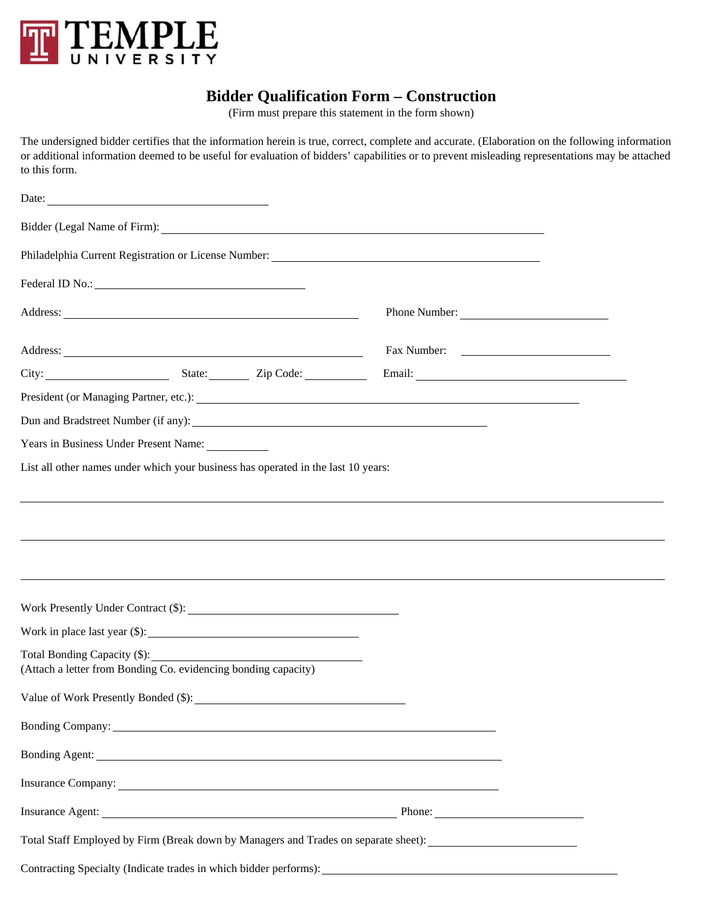

## **Bidder Qualification Form – Construction**

(Firm must prepare this statement in the form shown)

The undersigned bidder certifies that the information herein is true, correct, complete and accurate. (Elaboration on the following information or additional information deemed to be useful for evaluation of bidders' capabilities or to prevent misleading representations may be attached to this form.

| Date: $\frac{1}{\sqrt{1-\frac{1}{2}}\sqrt{1-\frac{1}{2}}\sqrt{1-\frac{1}{2}}\sqrt{1-\frac{1}{2}}\sqrt{1-\frac{1}{2}}\sqrt{1-\frac{1}{2}}\sqrt{1-\frac{1}{2}}\sqrt{1-\frac{1}{2}}\sqrt{1-\frac{1}{2}}\sqrt{1-\frac{1}{2}}\sqrt{1-\frac{1}{2}}\sqrt{1-\frac{1}{2}}\sqrt{1-\frac{1}{2}}\sqrt{1-\frac{1}{2}}\sqrt{1-\frac{1}{2}}\sqrt{1-\frac{1}{2}}\sqrt{1-\frac{1}{2}}\sqrt{1-\frac{1}{2}}\sqrt{1-\frac{1}{2}}$ |  |                                                                                                                                                                                                                                |  |
|---------------------------------------------------------------------------------------------------------------------------------------------------------------------------------------------------------------------------------------------------------------------------------------------------------------------------------------------------------------------------------------------------------------|--|--------------------------------------------------------------------------------------------------------------------------------------------------------------------------------------------------------------------------------|--|
|                                                                                                                                                                                                                                                                                                                                                                                                               |  | Bidder (Legal Name of Firm): 2008 and 2008 and 2008 and 2008 and 2008 and 2008 and 2008 and 2008 and 2008 and 2008 and 2008 and 2008 and 2008 and 2008 and 2008 and 2008 and 2008 and 2008 and 2008 and 2008 and 2008 and 2008 |  |
|                                                                                                                                                                                                                                                                                                                                                                                                               |  |                                                                                                                                                                                                                                |  |
|                                                                                                                                                                                                                                                                                                                                                                                                               |  |                                                                                                                                                                                                                                |  |
|                                                                                                                                                                                                                                                                                                                                                                                                               |  | Phone Number:                                                                                                                                                                                                                  |  |
| Address: National Commission of the Commission of the Commission of the Commission of the Commission of the Commission of the Commission of the Commission of the Commission of the Commission of the Commission of the Commis                                                                                                                                                                                |  |                                                                                                                                                                                                                                |  |
|                                                                                                                                                                                                                                                                                                                                                                                                               |  |                                                                                                                                                                                                                                |  |
|                                                                                                                                                                                                                                                                                                                                                                                                               |  |                                                                                                                                                                                                                                |  |
|                                                                                                                                                                                                                                                                                                                                                                                                               |  |                                                                                                                                                                                                                                |  |
| Years in Business Under Present Name:                                                                                                                                                                                                                                                                                                                                                                         |  |                                                                                                                                                                                                                                |  |
| List all other names under which your business has operated in the last 10 years:                                                                                                                                                                                                                                                                                                                             |  |                                                                                                                                                                                                                                |  |
|                                                                                                                                                                                                                                                                                                                                                                                                               |  |                                                                                                                                                                                                                                |  |
|                                                                                                                                                                                                                                                                                                                                                                                                               |  |                                                                                                                                                                                                                                |  |
|                                                                                                                                                                                                                                                                                                                                                                                                               |  |                                                                                                                                                                                                                                |  |
|                                                                                                                                                                                                                                                                                                                                                                                                               |  |                                                                                                                                                                                                                                |  |
|                                                                                                                                                                                                                                                                                                                                                                                                               |  |                                                                                                                                                                                                                                |  |
| Work Presently Under Contract (\$):                                                                                                                                                                                                                                                                                                                                                                           |  |                                                                                                                                                                                                                                |  |
|                                                                                                                                                                                                                                                                                                                                                                                                               |  |                                                                                                                                                                                                                                |  |
| Total Bonding Capacity (\$): _____________                                                                                                                                                                                                                                                                                                                                                                    |  |                                                                                                                                                                                                                                |  |
| (Attach a letter from Bonding Co. evidencing bonding capacity)                                                                                                                                                                                                                                                                                                                                                |  |                                                                                                                                                                                                                                |  |
| Value of Work Presently Bonded (\$):                                                                                                                                                                                                                                                                                                                                                                          |  |                                                                                                                                                                                                                                |  |
| Bonding Company: North Company: North Company: North Company: North Company: North Company: North Company: North Company: North Company: North Company: North Company: North Company: North Company: North Company: North Comp                                                                                                                                                                                |  |                                                                                                                                                                                                                                |  |
|                                                                                                                                                                                                                                                                                                                                                                                                               |  |                                                                                                                                                                                                                                |  |
|                                                                                                                                                                                                                                                                                                                                                                                                               |  | Insurance Company:                                                                                                                                                                                                             |  |
|                                                                                                                                                                                                                                                                                                                                                                                                               |  |                                                                                                                                                                                                                                |  |
|                                                                                                                                                                                                                                                                                                                                                                                                               |  | Total Staff Employed by Firm (Break down by Managers and Trades on separate sheet): __________________________                                                                                                                 |  |
|                                                                                                                                                                                                                                                                                                                                                                                                               |  |                                                                                                                                                                                                                                |  |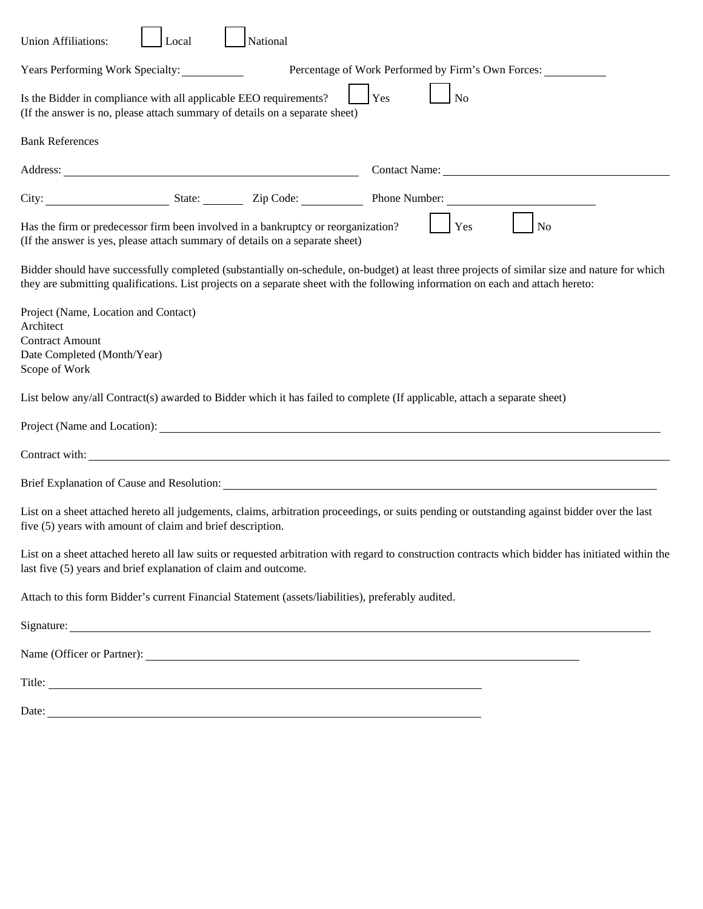| National<br><b>Union Affiliations:</b><br>Local                                                                                                                                                                                                                                  |
|----------------------------------------------------------------------------------------------------------------------------------------------------------------------------------------------------------------------------------------------------------------------------------|
| Percentage of Work Performed by Firm's Own Forces:<br>Years Performing Work Specialty:                                                                                                                                                                                           |
| Is the Bidder in compliance with all applicable EEO requirements?<br>Yes<br>No<br>(If the answer is no, please attach summary of details on a separate sheet)                                                                                                                    |
| <b>Bank References</b>                                                                                                                                                                                                                                                           |
| Address: <u>Address:</u>                                                                                                                                                                                                                                                         |
| City: State: <u>State:</u> Zip Code:<br>Phone Number:                                                                                                                                                                                                                            |
| Has the firm or predecessor firm been involved in a bankruptcy or reorganization?<br>Yes<br>N <sub>o</sub><br>(If the answer is yes, please attach summary of details on a separate sheet)                                                                                       |
| Bidder should have successfully completed (substantially on-schedule, on-budget) at least three projects of similar size and nature for which<br>they are submitting qualifications. List projects on a separate sheet with the following information on each and attach hereto: |
| Project (Name, Location and Contact)<br>Architect                                                                                                                                                                                                                                |
| <b>Contract Amount</b>                                                                                                                                                                                                                                                           |
| Date Completed (Month/Year)                                                                                                                                                                                                                                                      |
| Scope of Work                                                                                                                                                                                                                                                                    |
| List below any/all Contract(s) awarded to Bidder which it has failed to complete (If applicable, attach a separate sheet)                                                                                                                                                        |
| Project (Name and Location):                                                                                                                                                                                                                                                     |
| Contract with: <u>contract with:</u> contract with:                                                                                                                                                                                                                              |
| Brief Explanation of Cause and Resolution:                                                                                                                                                                                                                                       |
| List on a sheet attached hereto all judgements, claims, arbitration proceedings, or suits pending or outstanding against bidder over the last<br>five (5) years with amount of claim and brief description.                                                                      |
| List on a sheet attached hereto all law suits or requested arbitration with regard to construction contracts which bidder has initiated within the<br>last five (5) years and brief explanation of claim and outcome.                                                            |
| Attach to this form Bidder's current Financial Statement (assets/liabilities), preferably audited.                                                                                                                                                                               |
| Signature:                                                                                                                                                                                                                                                                       |
|                                                                                                                                                                                                                                                                                  |
|                                                                                                                                                                                                                                                                                  |
|                                                                                                                                                                                                                                                                                  |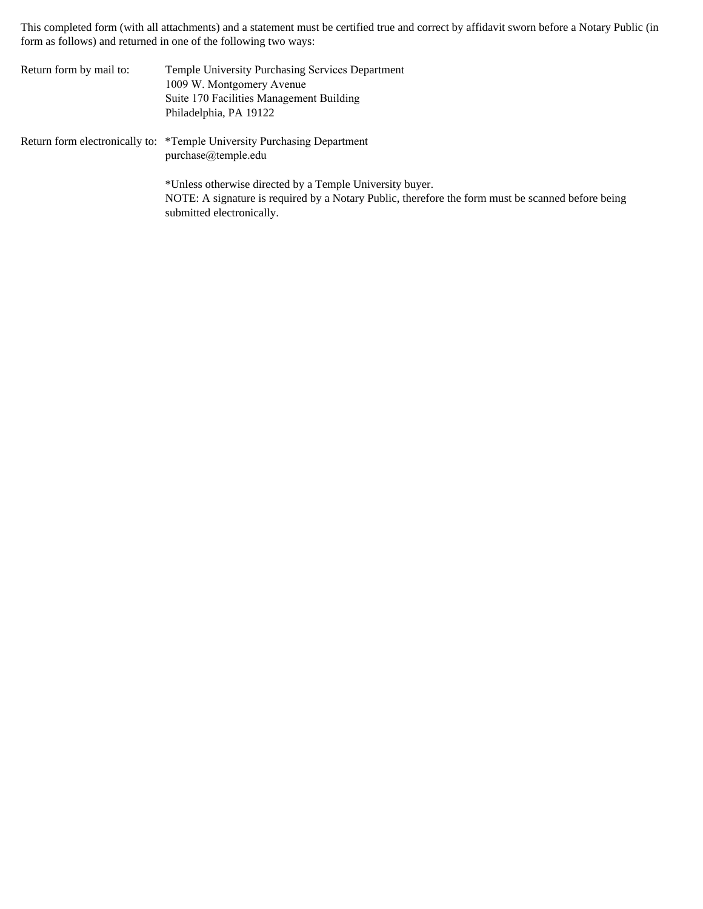This completed form (with all attachments) and a statement must be certified true and correct by affidavit sworn before a Notary Public (in form as follows) and returned in one of the following two ways:

| Return form by mail to: | Temple University Purchasing Services Department<br>1009 W. Montgomery Avenue<br>Suite 170 Facilities Management Building<br>Philadelphia, PA 19122                                        |
|-------------------------|--------------------------------------------------------------------------------------------------------------------------------------------------------------------------------------------|
|                         | Return form electronically to: *Temple University Purchasing Department<br>$purebase@$ temple.edu                                                                                          |
|                         | *Unless otherwise directed by a Temple University buyer.<br>NOTE: A signature is required by a Notary Public, therefore the form must be scanned before being<br>submitted electronically. |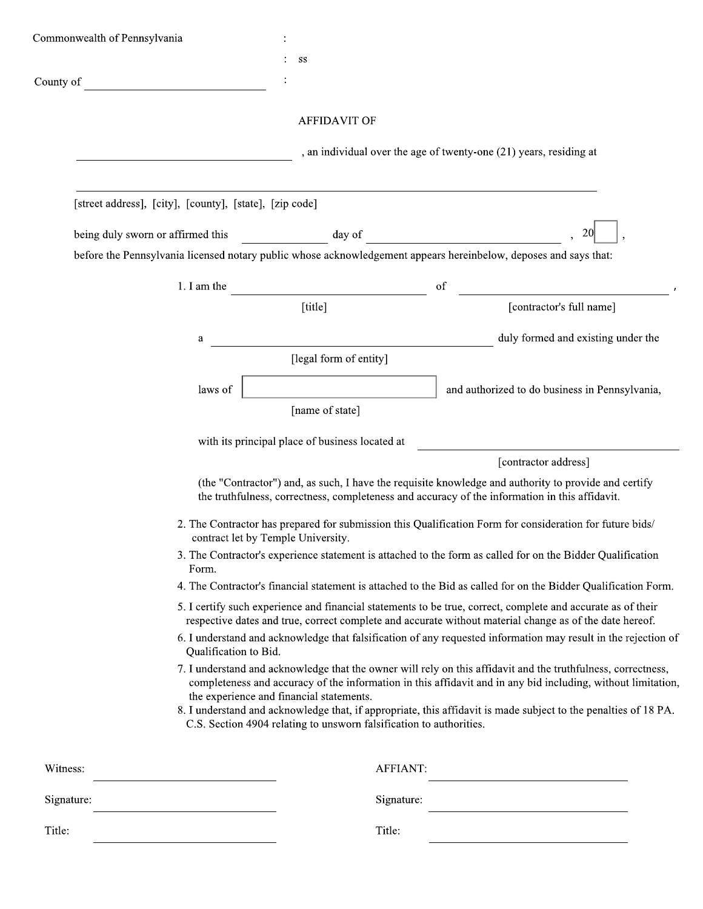| Commonwealth of Pennsylvania |                                                                                                                                         |                                                                                                                 |                                                                                                                                                                                                                                                                                                                                                  |  |  |  |
|------------------------------|-----------------------------------------------------------------------------------------------------------------------------------------|-----------------------------------------------------------------------------------------------------------------|--------------------------------------------------------------------------------------------------------------------------------------------------------------------------------------------------------------------------------------------------------------------------------------------------------------------------------------------------|--|--|--|
|                              |                                                                                                                                         | SS                                                                                                              |                                                                                                                                                                                                                                                                                                                                                  |  |  |  |
| County of                    |                                                                                                                                         |                                                                                                                 |                                                                                                                                                                                                                                                                                                                                                  |  |  |  |
|                              |                                                                                                                                         | <b>AFFIDAVIT OF</b>                                                                                             |                                                                                                                                                                                                                                                                                                                                                  |  |  |  |
|                              |                                                                                                                                         |                                                                                                                 | , an individual over the age of twenty-one (21) years, residing at                                                                                                                                                                                                                                                                               |  |  |  |
|                              | [street address], [city], [county], [state], [zip code]                                                                                 |                                                                                                                 |                                                                                                                                                                                                                                                                                                                                                  |  |  |  |
|                              | being duly sworn or affirmed this                                                                                                       |                                                                                                                 | $\frac{1}{2}$ day of                                                                                                                                                                                                                                                                                                                             |  |  |  |
|                              |                                                                                                                                         |                                                                                                                 | before the Pennsylvania licensed notary public whose acknowledgement appears hereinbelow, deposes and says that:                                                                                                                                                                                                                                 |  |  |  |
|                              |                                                                                                                                         | 1. I am the $\qquad \qquad$                                                                                     | of                                                                                                                                                                                                                                                                                                                                               |  |  |  |
|                              |                                                                                                                                         | [title]                                                                                                         | [contractor's full name]                                                                                                                                                                                                                                                                                                                         |  |  |  |
|                              | a                                                                                                                                       |                                                                                                                 | duly formed and existing under the                                                                                                                                                                                                                                                                                                               |  |  |  |
|                              |                                                                                                                                         | [legal form of entity]                                                                                          |                                                                                                                                                                                                                                                                                                                                                  |  |  |  |
|                              | laws of                                                                                                                                 |                                                                                                                 | and authorized to do business in Pennsylvania,                                                                                                                                                                                                                                                                                                   |  |  |  |
|                              |                                                                                                                                         | [name of state]                                                                                                 |                                                                                                                                                                                                                                                                                                                                                  |  |  |  |
|                              |                                                                                                                                         | with its principal place of business located at                                                                 |                                                                                                                                                                                                                                                                                                                                                  |  |  |  |
|                              |                                                                                                                                         |                                                                                                                 | [contractor address]                                                                                                                                                                                                                                                                                                                             |  |  |  |
|                              |                                                                                                                                         |                                                                                                                 | (the "Contractor") and, as such, I have the requisite knowledge and authority to provide and certify<br>the truthfulness, correctness, completeness and accuracy of the information in this affidavit.                                                                                                                                           |  |  |  |
|                              |                                                                                                                                         | contract let by Temple University.                                                                              | 2. The Contractor has prepared for submission this Qualification Form for consideration for future bids/                                                                                                                                                                                                                                         |  |  |  |
|                              | Form.                                                                                                                                   |                                                                                                                 | 3. The Contractor's experience statement is attached to the form as called for on the Bidder Qualification                                                                                                                                                                                                                                       |  |  |  |
|                              |                                                                                                                                         |                                                                                                                 | 4. The Contractor's financial statement is attached to the Bid as called for on the Bidder Qualification Form.                                                                                                                                                                                                                                   |  |  |  |
|                              |                                                                                                                                         |                                                                                                                 | 5. I certify such experience and financial statements to be true, correct, complete and accurate as of their<br>respective dates and true, correct complete and accurate without material change as of the date hereof.                                                                                                                          |  |  |  |
|                              | 6. I understand and acknowledge that falsification of any requested information may result in the rejection of<br>Qualification to Bid. |                                                                                                                 |                                                                                                                                                                                                                                                                                                                                                  |  |  |  |
|                              |                                                                                                                                         | the experience and financial statements.<br>C.S. Section 4904 relating to unsworn falsification to authorities. | 7. I understand and acknowledge that the owner will rely on this affidavit and the truthfulness, correctness,<br>completeness and accuracy of the information in this affidavit and in any bid including, without limitation,<br>8. I understand and acknowledge that, if appropriate, this affidavit is made subject to the penalties of 18 PA. |  |  |  |
| Witness:                     |                                                                                                                                         |                                                                                                                 | <b>AFFIANT:</b>                                                                                                                                                                                                                                                                                                                                  |  |  |  |
| Signature:                   |                                                                                                                                         |                                                                                                                 | Signature:                                                                                                                                                                                                                                                                                                                                       |  |  |  |
| Title:                       |                                                                                                                                         | Title:                                                                                                          |                                                                                                                                                                                                                                                                                                                                                  |  |  |  |